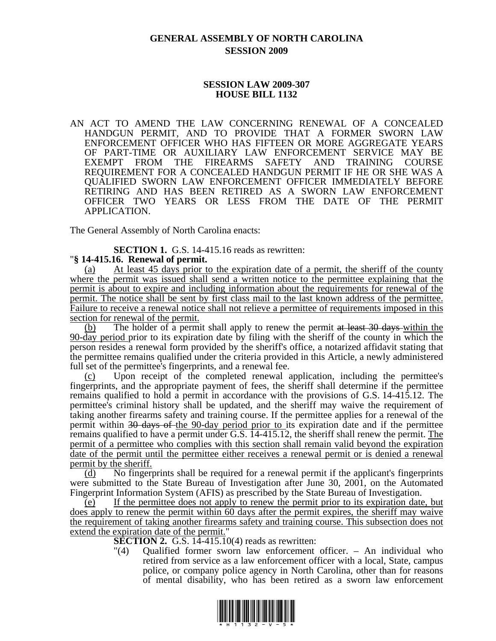## **GENERAL ASSEMBLY OF NORTH CAROLINA SESSION 2009**

## **SESSION LAW 2009-307 HOUSE BILL 1132**

AN ACT TO AMEND THE LAW CONCERNING RENEWAL OF A CONCEALED HANDGUN PERMIT, AND TO PROVIDE THAT A FORMER SWORN LAW ENFORCEMENT OFFICER WHO HAS FIFTEEN OR MORE AGGREGATE YEARS OF PART-TIME OR AUXILIARY LAW ENFORCEMENT SERVICE MAY BE EXEMPT FROM THE FIREARMS SAFETY AND TRAINING COURSE REQUIREMENT FOR A CONCEALED HANDGUN PERMIT IF HE OR SHE WAS A QUALIFIED SWORN LAW ENFORCEMENT OFFICER IMMEDIATELY BEFORE RETIRING AND HAS BEEN RETIRED AS A SWORN LAW ENFORCEMENT OFFICER TWO YEARS OR LESS FROM THE DATE OF THE PERMIT APPLICATION.

The General Assembly of North Carolina enacts:

**SECTION 1.** G.S. 14-415.16 reads as rewritten: "**§ 14-415.16. Renewal of permit.** 

(a) At least 45 days prior to the expiration date of a permit, the sheriff of the county where the permit was issued shall send a written notice to the permittee explaining that the permit is about to expire and including information about the requirements for renewal of the permit. The notice shall be sent by first class mail to the last known address of the permittee. Failure to receive a renewal notice shall not relieve a permittee of requirements imposed in this section for renewal of the permit.

(b) The holder of a permit shall apply to renew the permit at least 30 days within the 90-day period prior to its expiration date by filing with the sheriff of the county in which the person resides a renewal form provided by the sheriff's office, a notarized affidavit stating that the permittee remains qualified under the criteria provided in this Article, a newly administered full set of the permittee's fingerprints, and a renewal fee.

(c) Upon receipt of the completed renewal application, including the permittee's fingerprints, and the appropriate payment of fees, the sheriff shall determine if the permittee remains qualified to hold a permit in accordance with the provisions of G.S. 14-415.12. The permittee's criminal history shall be updated, and the sheriff may waive the requirement of taking another firearms safety and training course. If the permittee applies for a renewal of the permit within 30 days of the 90-day period prior to its expiration date and if the permittee remains qualified to have a permit under G.S. 14-415.12, the sheriff shall renew the permit. The permit of a permittee who complies with this section shall remain valid beyond the expiration date of the permit until the permittee either receives a renewal permit or is denied a renewal permit by the sheriff.

(d) No fingerprints shall be required for a renewal permit if the applicant's fingerprints were submitted to the State Bureau of Investigation after June 30, 2001, on the Automated Fingerprint Information System (AFIS) as prescribed by the State Bureau of Investigation.

(e) If the permittee does not apply to renew the permit prior to its expiration date, but does apply to renew the permit within 60 days after the permit expires, the sheriff may waive the requirement of taking another firearms safety and training course. This subsection does not extend the expiration date of the permit."

**SECTION 2.** G.S. 14-415.10(4) reads as rewritten:

"(4) Qualified former sworn law enforcement officer. – An individual who retired from service as a law enforcement officer with a local, State, campus police, or company police agency in North Carolina, other than for reasons of mental disability, who has been retired as a sworn law enforcement